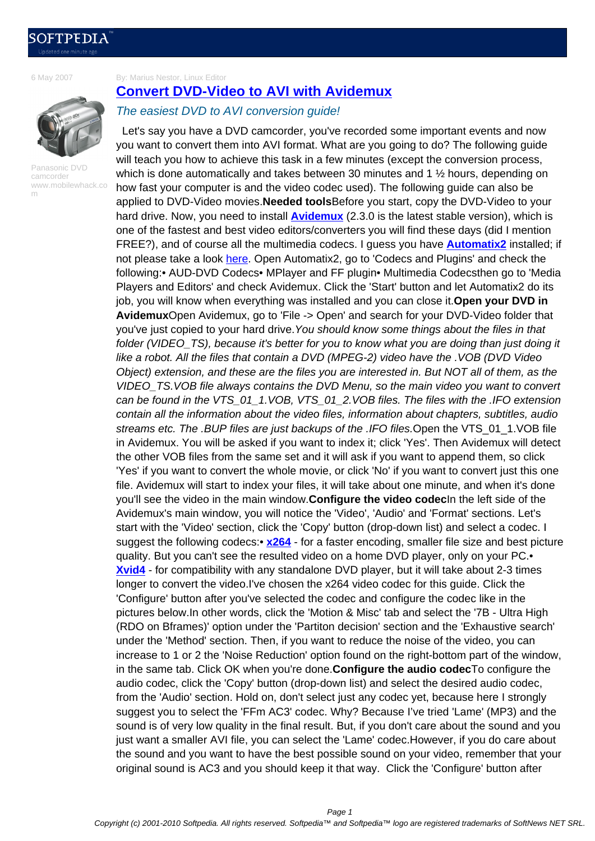[6 May 2007](http://news.softpedia.com)

By: Marius Nestor, Linux Editor



Panasonic DVD camcorder www.mobilewhack.co m

## **Convert DVD-Video to AVI with Avidemux**

## The easiest DVD to AVI conversion guide!

 Let's say you have a DVD camcorder, you've recorded some important events and now [you want to convert them into AVI format. What are you g](http://news.softpedia.com/news/Convert-DVD-Video-to-AVI-with-Avidemux-54002.shtml)oing to do? The following guide will teach you how to achieve this task in a few minutes (except the conversion process, which is done automatically and takes between 30 minutes and 1 ½ hours, depending on how fast your computer is and the video codec used). The following guide can also be applied to DVD-Video movies.**Needed tools**Before you start, copy the DVD-Video to your hard drive. Now, you need to install **Avidemux** (2.3.0 is the latest stable version), which is one of the fastest and best video editors/converters you will find these days (did I mention FREE?), and of course all the multimedia codecs. I guess you have **Automatix2** installed; if not please take a look here. Open Automatix2, go to 'Codecs and Plugins' and check the following:• AUD-DVD Codecs• MPl[ayer and FF](http://linux.softpedia.com/get/Multimedia/Video/Avidemux-3745.shtml) plugin• Multimedia Codecsthen go to 'Media Players and Editors' and check Avidemux. Click the 'Start' button and let Automatix2 do its job, you will know when everything was installed and you can close it.**[Open your](http://linux.softpedia.com/get/Multimedia/Video/Avidemux-3745.shtml) DVD in Avidemux**Open Avid[emux,](http://news.softpedia.com/news/Automatix2-A-Life-Saver-53382.shtml) go to 'File -> Open' and search for your DVD-Video folder that you've just copied to your hard drive. You should know some things about the files in that folder (VIDEO TS), because it's better for you to know what you are doing than just doing it like a robot. All the files that contain a DVD (MPEG-2) video have the .VOB (DVD Video Object) extension, and these are the files you are interested in. But NOT all of them, as the VIDEO\_TS.VOB file always contains the DVD Menu, so the main video you want to convert can be found in the VTS\_01\_1.VOB, VTS\_01\_2.VOB files. The files with the .IFO extension contain all the information about the video files, information about chapters, subtitles, audio streams etc. The .BUP files are just backups of the .IFO files.Open the VTS\_01\_1.VOB file in Avidemux. You will be asked if you want to index it; click 'Yes'. Then Avidemux will detect the other VOB files from the same set and it will ask if you want to append them, so click 'Yes' if you want to convert the whole movie, or click 'No' if you want to convert just this one file. Avidemux will start to index your files, it will take about one minute, and when it's done you'll see the video in the main window.**Configure the video codec**In the left side of the Avidemux's main window, you will notice the 'Video', 'Audio' and 'Format' sections. Let's start with the 'Video' section, click the 'Copy' button (drop-down list) and select a codec. I suggest the following codecs:• **x264** - for a faster encoding, smaller file size and best picture quality. But you can't see the resulted video on a home DVD player, only on your PC.• **Xvid4** - for compatibility with any standalone DVD player, but it will take about 2-3 times longer to convert the video.I've chosen the x264 video codec for this guide. Click the 'Configure' button after you've [select](http://en.wikipedia.org/wiki/X264)ed the codec and configure the codec like in the pictures below.In other words, click the 'Motion & Misc' tab and select the '7B - Ultra High [\(RDO](http://en.wikipedia.org/wiki/Xvid_codec) on Bframes)' option under the 'Partiton decision' section and the 'Exhaustive search' under the 'Method' section. Then, if you want to reduce the noise of the video, you can increase to 1 or 2 the 'Noise Reduction' option found on the right-bottom part of the window, in the same tab. Click OK when you're done.**Configure the audio codec**To configure the audio codec, click the 'Copy' button (drop-down list) and select the desired audio codec, from the 'Audio' section. Hold on, don't select just any codec yet, because here I strongly suggest you to select the 'FFm AC3' codec. Why? Because I've tried 'Lame' (MP3) and the sound is of very low quality in the final result. But, if you don't care about the sound and you just want a smaller AVI file, you can select the 'Lame' codec.However, if you do care about the sound and you want to have the best possible sound on your video, remember that your original sound is AC3 and you should keep it that way. Click the 'Configure' button after